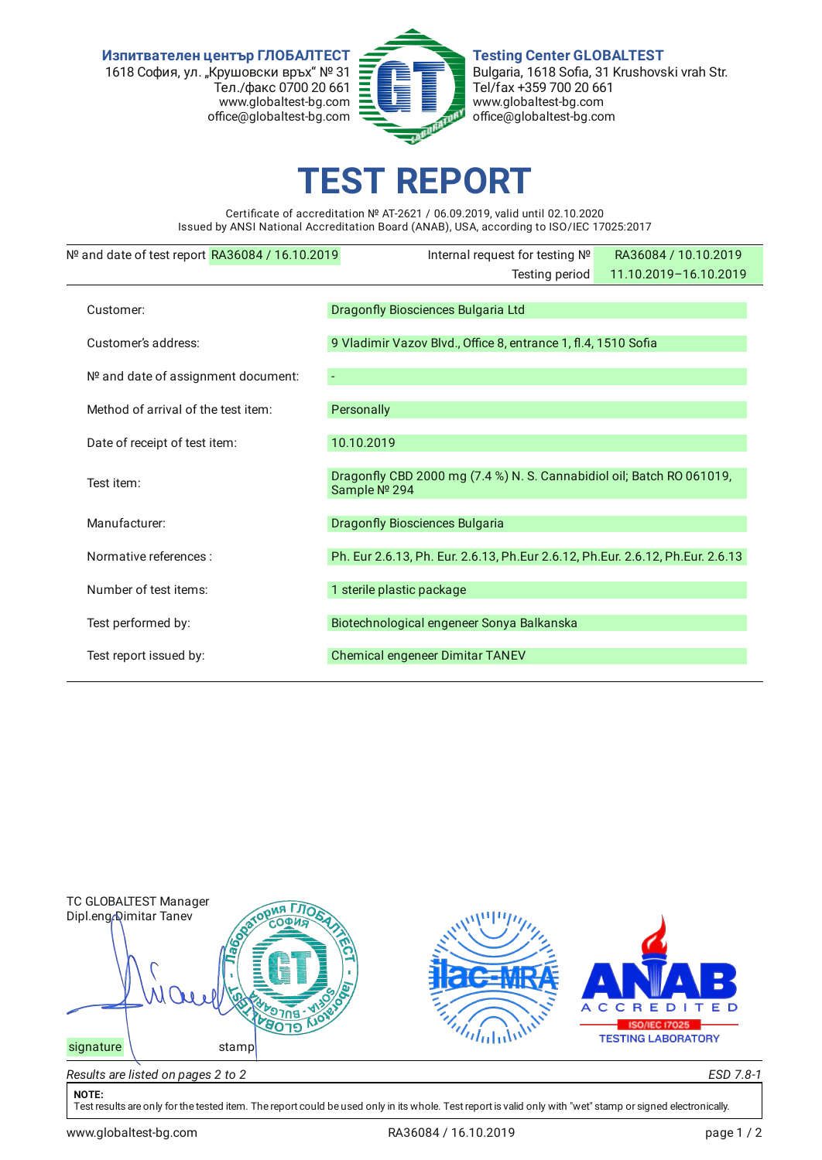**Изпитвателен център ГЛОБАЛТЕСТ** 1618 София, ул. "Крушовски връх" № 31 Тел./факс 0700 20 661 www.globaltest-bg.com office@globaltest-bg.com



**Testing Center GLOBALTEST** Bulgaria, 1618 Sofia, 31 Krushovski vrah Str. Tel/fax +359 700 20 661 www.globaltest-bg.com office@globaltest-bg.com

## **EST REPO**

Certificate of accreditation № AT-2621 / 06.09.2019, valid until 02.10.2020 Issued by ANSI National Accreditation Board (ANAB), USA, according to ISO/IEC 17025:2017

| $No$ and date of test report RA36084 / 16.10.2019 | Internal request for testing Nº                                                       | RA36084 / 10.10.2019  |  |  |  |
|---------------------------------------------------|---------------------------------------------------------------------------------------|-----------------------|--|--|--|
|                                                   | Testing period                                                                        | 11.10.2019-16.10.2019 |  |  |  |
| Customer:                                         | Dragonfly Biosciences Bulgaria Ltd                                                    |                       |  |  |  |
| Customer's address:                               | 9 Vladimir Vazov Blvd., Office 8, entrance 1, fl.4, 1510 Sofia                        |                       |  |  |  |
| Nº and date of assignment document:               |                                                                                       |                       |  |  |  |
| Method of arrival of the test item:               | Personally                                                                            |                       |  |  |  |
| Date of receipt of test item:                     | 10.10.2019                                                                            |                       |  |  |  |
| Test item:                                        | Dragonfly CBD 2000 mg (7.4 %) N. S. Cannabidiol oil; Batch RO 061019,<br>Sample № 294 |                       |  |  |  |
| Manufacturer:                                     | <b>Dragonfly Biosciences Bulgaria</b>                                                 |                       |  |  |  |
| Normative references :                            | Ph. Eur 2.6.13, Ph. Eur. 2.6.13, Ph. Eur 2.6.12, Ph. Eur. 2.6.12, Ph. Eur. 2.6.13     |                       |  |  |  |
| Number of test items:                             | 1 sterile plastic package                                                             |                       |  |  |  |
| Test performed by:                                | Biotechnological engeneer Sonya Balkanska                                             |                       |  |  |  |
| Test report issued by:                            | Chemical engeneer Dimitar TANEV                                                       |                       |  |  |  |



## **NOTE:**

Test results are only for the tested item. The report could be used only in its whole. Test report is valid only with "wet" stamp or signed electronically.